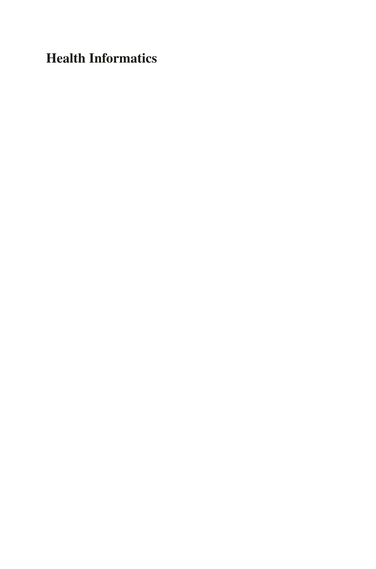**Health Informatics**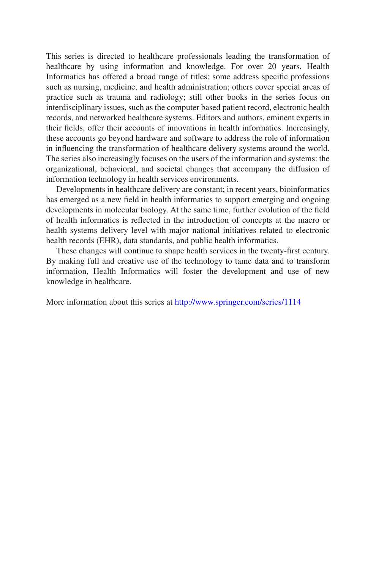This series is directed to healthcare professionals leading the transformation of healthcare by using information and knowledge. For over 20 years, Health Informatics has offered a broad range of titles: some address specific professions such as nursing, medicine, and health administration; others cover special areas of practice such as trauma and radiology; still other books in the series focus on interdisciplinary issues, such as the computer based patient record, electronic health records, and networked healthcare systems. Editors and authors, eminent experts in their fields, offer their accounts of innovations in health informatics. Increasingly, these accounts go beyond hardware and software to address the role of information in influencing the transformation of healthcare delivery systems around the world. The series also increasingly focuses on the users of the information and systems: the organizational, behavioral, and societal changes that accompany the diffusion of information technology in health services environments.

Developments in healthcare delivery are constant; in recent years, bioinformatics has emerged as a new field in health informatics to support emerging and ongoing developments in molecular biology. At the same time, further evolution of the field of health informatics is reflected in the introduction of concepts at the macro or health systems delivery level with major national initiatives related to electronic health records (EHR), data standards, and public health informatics.

These changes will continue to shape health services in the twenty-first century. By making full and creative use of the technology to tame data and to transform information, Health Informatics will foster the development and use of new knowledge in healthcare.

More information about this series at<http://www.springer.com/series/1114>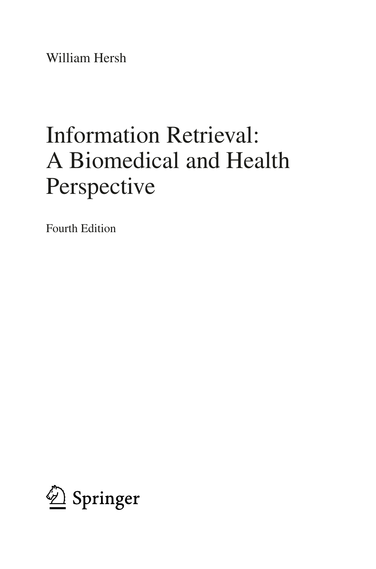William Hersh

## Information Retrieval: A Biomedical and Health Perspective

Fourth Edition

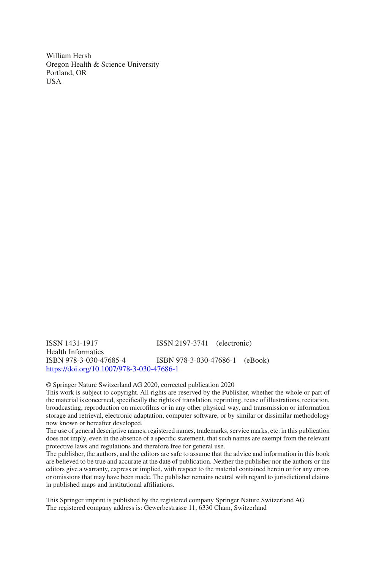William Hersh Oregon Health & Science University Portland, OR USA

ISSN 1431-1917 ISSN 2197-3741 (electronic) Health Informatics ISBN 978-3-030-47685-4 ISBN 978-3-030-47686-1 (eBook) <https://doi.org/10.1007/978-3-030-47686-1>

© Springer Nature Switzerland AG 2020, corrected publication 2020

This work is subject to copyright. All rights are reserved by the Publisher, whether the whole or part of the material is concerned, specifically the rights of translation, reprinting, reuse of illustrations, recitation, broadcasting, reproduction on microfilms or in any other physical way, and transmission or information storage and retrieval, electronic adaptation, computer software, or by similar or dissimilar methodology now known or hereafter developed.

The use of general descriptive names, registered names, trademarks, service marks, etc. in this publication does not imply, even in the absence of a specific statement, that such names are exempt from the relevant protective laws and regulations and therefore free for general use.

The publisher, the authors, and the editors are safe to assume that the advice and information in this book are believed to be true and accurate at the date of publication. Neither the publisher nor the authors or the editors give a warranty, express or implied, with respect to the material contained herein or for any errors or omissions that may have been made. The publisher remains neutral with regard to jurisdictional claims in published maps and institutional affiliations.

This Springer imprint is published by the registered company Springer Nature Switzerland AG The registered company address is: Gewerbestrasse 11, 6330 Cham, Switzerland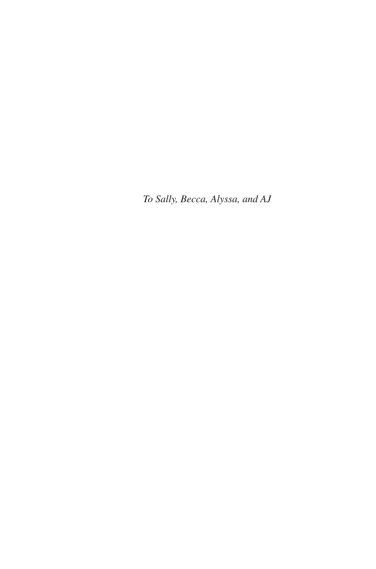*To Sally, Becca, Alyssa, and AJ*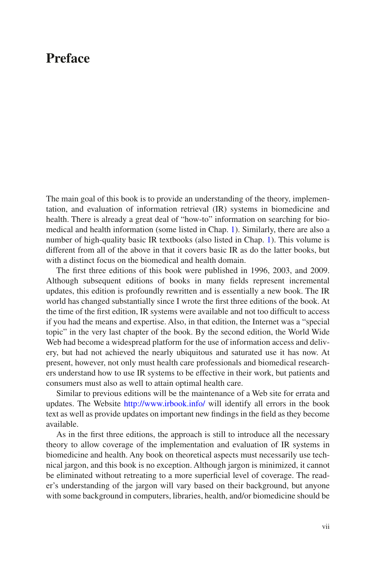## **Preface**

The main goal of this book is to provide an understanding of the theory, implementation, and evaluation of information retrieval (IR) systems in biomedicine and health. There is already a great deal of "how-to" information on searching for biomedical and health information (some listed in Chap. [1\)](https://doi.org/10.1007/978-3-030-47686-1_1). Similarly, there are also a number of high-quality basic IR textbooks (also listed in Chap. [1](https://doi.org/10.1007/978-3-030-47686-1_1)). This volume is different from all of the above in that it covers basic IR as do the latter books, but with a distinct focus on the biomedical and health domain.

The first three editions of this book were published in 1996, 2003, and 2009. Although subsequent editions of books in many fields represent incremental updates, this edition is profoundly rewritten and is essentially a new book. The IR world has changed substantially since I wrote the first three editions of the book. At the time of the first edition, IR systems were available and not too difficult to access if you had the means and expertise. Also, in that edition, the Internet was a "special topic" in the very last chapter of the book. By the second edition, the World Wide Web had become a widespread platform for the use of information access and delivery, but had not achieved the nearly ubiquitous and saturated use it has now. At present, however, not only must health care professionals and biomedical researchers understand how to use IR systems to be effective in their work, but patients and consumers must also as well to attain optimal health care.

Similar to previous editions will be the maintenance of a Web site for errata and updates. The Website <http://www.irbook.info/>will identify all errors in the book text as well as provide updates on important new findings in the field as they become available.

As in the first three editions, the approach is still to introduce all the necessary theory to allow coverage of the implementation and evaluation of IR systems in biomedicine and health. Any book on theoretical aspects must necessarily use technical jargon, and this book is no exception. Although jargon is minimized, it cannot be eliminated without retreating to a more superficial level of coverage. The reader's understanding of the jargon will vary based on their background, but anyone with some background in computers, libraries, health, and/or biomedicine should be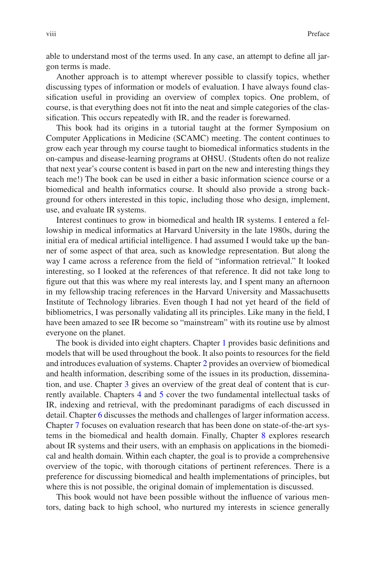able to understand most of the terms used. In any case, an attempt to define all jargon terms is made.

Another approach is to attempt wherever possible to classify topics, whether discussing types of information or models of evaluation. I have always found classification useful in providing an overview of complex topics. One problem, of course, is that everything does not fit into the neat and simple categories of the classification. This occurs repeatedly with IR, and the reader is forewarned.

This book had its origins in a tutorial taught at the former Symposium on Computer Applications in Medicine (SCAMC) meeting. The content continues to grow each year through my course taught to biomedical informatics students in the on-campus and disease-learning programs at OHSU. (Students often do not realize that next year's course content is based in part on the new and interesting things they teach me!) The book can be used in either a basic information science course or a biomedical and health informatics course. It should also provide a strong background for others interested in this topic, including those who design, implement, use, and evaluate IR systems.

Interest continues to grow in biomedical and health IR systems. I entered a fellowship in medical informatics at Harvard University in the late 1980s, during the initial era of medical artificial intelligence. I had assumed I would take up the banner of some aspect of that area, such as knowledge representation. But along the way I came across a reference from the field of "information retrieval." It looked interesting, so I looked at the references of that reference. It did not take long to figure out that this was where my real interests lay, and I spent many an afternoon in my fellowship tracing references in the Harvard University and Massachusetts Institute of Technology libraries. Even though I had not yet heard of the field of bibliometrics, I was personally validating all its principles. Like many in the field, I have been amazed to see IR become so "mainstream" with its routine use by almost everyone on the planet.

The book is divided into eight chapters. Chapter [1](https://doi.org/10.1007/978-3-030-47686-1_1) provides basic definitions and models that will be used throughout the book. It also points to resources for the field and introduces evaluation of systems. Chapter [2](https://doi.org/10.1007/978-3-030-47686-1_2) provides an overview of biomedical and health information, describing some of the issues in its production, dissemination, and use. Chapter [3](https://doi.org/10.1007/978-3-030-47686-1_3) gives an overview of the great deal of content that is currently available. Chapters [4](https://doi.org/10.1007/978-3-030-47686-1_4) and [5](https://doi.org/10.1007/978-3-030-47686-1_5) cover the two fundamental intellectual tasks of IR, indexing and retrieval, with the predominant paradigms of each discussed in detail. Chapter [6](https://doi.org/10.1007/978-3-030-47686-1_6) discusses the methods and challenges of larger information access. Chapter [7](https://doi.org/10.1007/978-3-030-47686-1_7) focuses on evaluation research that has been done on state-of-the-art systems in the biomedical and health domain. Finally, Chapter [8](https://doi.org/10.1007/978-3-030-47686-1_8) explores research about IR systems and their users, with an emphasis on applications in the biomedical and health domain. Within each chapter, the goal is to provide a comprehensive overview of the topic, with thorough citations of pertinent references. There is a preference for discussing biomedical and health implementations of principles, but where this is not possible, the original domain of implementation is discussed.

This book would not have been possible without the influence of various mentors, dating back to high school, who nurtured my interests in science generally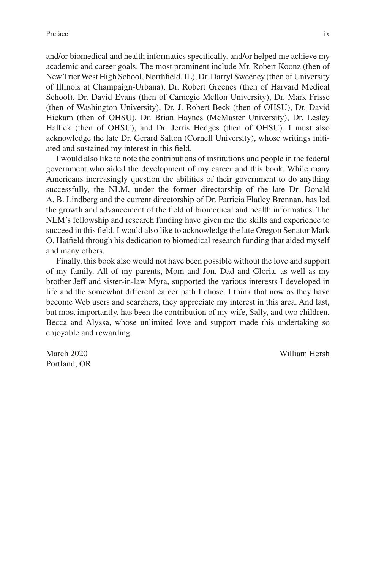Preface

and/or biomedical and health informatics specifically, and/or helped me achieve my academic and career goals. The most prominent include Mr. Robert Koonz (then of New Trier West High School, Northfield, IL), Dr. Darryl Sweeney (then of University of Illinois at Champaign-Urbana), Dr. Robert Greenes (then of Harvard Medical School), Dr. David Evans (then of Carnegie Mellon University), Dr. Mark Frisse (then of Washington University), Dr. J. Robert Beck (then of OHSU), Dr. David Hickam (then of OHSU), Dr. Brian Haynes (McMaster University), Dr. Lesley Hallick (then of OHSU), and Dr. Jerris Hedges (then of OHSU). I must also acknowledge the late Dr. Gerard Salton (Cornell University), whose writings initiated and sustained my interest in this field.

I would also like to note the contributions of institutions and people in the federal government who aided the development of my career and this book. While many Americans increasingly question the abilities of their government to do anything successfully, the NLM, under the former directorship of the late Dr. Donald A. B. Lindberg and the current directorship of Dr. Patricia Flatley Brennan, has led the growth and advancement of the field of biomedical and health informatics. The NLM's fellowship and research funding have given me the skills and experience to succeed in this field. I would also like to acknowledge the late Oregon Senator Mark O. Hatfield through his dedication to biomedical research funding that aided myself and many others.

Finally, this book also would not have been possible without the love and support of my family. All of my parents, Mom and Jon, Dad and Gloria, as well as my brother Jeff and sister-in-law Myra, supported the various interests I developed in life and the somewhat different career path I chose. I think that now as they have become Web users and searchers, they appreciate my interest in this area. And last, but most importantly, has been the contribution of my wife, Sally, and two children, Becca and Alyssa, whose unlimited love and support made this undertaking so enjoyable and rewarding.

March 2020 Portland, OR William Hersh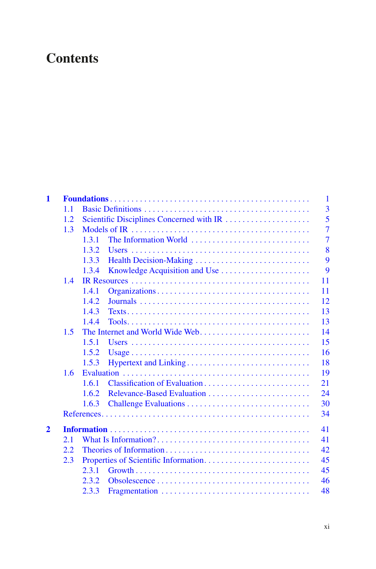## **Contents**

| $\mathbf{1}$   | $\mathbf{1}$ |                                                  |  |  |
|----------------|--------------|--------------------------------------------------|--|--|
|                | 1.1          | $\overline{3}$                                   |  |  |
|                | 1.2          | 5<br>Scientific Disciplines Concerned with IR    |  |  |
|                | 1.3          | $\overline{7}$                                   |  |  |
|                |              | $\overline{7}$<br>1.3.1<br>The Information World |  |  |
|                |              | 8<br>1.3.2                                       |  |  |
|                |              | 9<br>Health Decision-Making<br>1.3.3             |  |  |
|                |              | 9<br>1.3.4<br>Knowledge Acquisition and Use      |  |  |
|                | 1.4          | 11                                               |  |  |
|                |              | 11<br>1.4.1                                      |  |  |
|                |              | 12<br>1.4.2                                      |  |  |
|                |              | 13<br>1.4.3                                      |  |  |
|                |              | 13<br>1.4.4                                      |  |  |
|                | 1.5          | 14<br>The Internet and World Wide Web            |  |  |
|                |              | 15<br>1.5.1                                      |  |  |
|                |              | 16<br>1.5.2                                      |  |  |
|                |              | 18<br>Hypertext and Linking<br>1.5.3             |  |  |
|                | 1.6          | 19                                               |  |  |
|                |              | 21<br>1.6.1<br>Classification of Evaluation      |  |  |
|                |              | 24<br>Relevance-Based Evaluation<br>1.6.2        |  |  |
|                |              | 30<br>1.6.3                                      |  |  |
|                |              | 34                                               |  |  |
| $\overline{2}$ |              | 41                                               |  |  |
|                | 2.1          | 41                                               |  |  |
|                | $2.2\,$      | 42                                               |  |  |
|                | 2.3          | 45                                               |  |  |
|                |              | 45<br>2.3.1                                      |  |  |
|                |              | 46<br>2.3.2                                      |  |  |
|                |              | 48<br>2.3.3                                      |  |  |
|                |              |                                                  |  |  |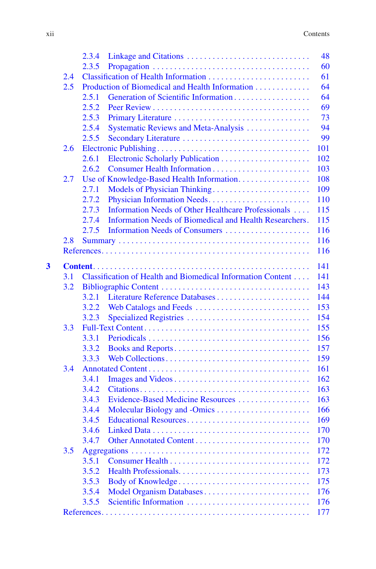|   |     | 2.3.4 |                                                             | 48  |
|---|-----|-------|-------------------------------------------------------------|-----|
|   |     | 2.3.5 |                                                             | 60  |
|   | 2.4 |       |                                                             | 61  |
|   | 2.5 |       | Production of Biomedical and Health Information             | 64  |
|   |     | 2.5.1 |                                                             | 64  |
|   |     | 2.5.2 |                                                             | 69  |
|   |     | 2.5.3 |                                                             | 73  |
|   |     | 2.5.4 | Systematic Reviews and Meta-Analysis                        | 94  |
|   |     | 2.5.5 | Secondary Literature                                        | 99  |
|   | 2.6 |       |                                                             | 101 |
|   |     | 2.6.1 |                                                             | 102 |
|   |     | 2.6.2 |                                                             | 103 |
|   | 2.7 |       | Use of Knowledge-Based Health Information                   | 108 |
|   |     | 2.7.1 | Models of Physician Thinking                                | 109 |
|   |     | 2.7.2 | Physician Information Needs                                 | 110 |
|   |     | 2.7.3 | Information Needs of Other Healthcare Professionals         | 115 |
|   |     | 2.7.4 | Information Needs of Biomedical and Health Researchers.     | 115 |
|   |     | 2.7.5 | Information Needs of Consumers                              | 116 |
|   | 2.8 |       |                                                             | 116 |
|   |     |       |                                                             | 116 |
|   |     |       |                                                             |     |
| 3 |     |       |                                                             | 141 |
|   | 3.1 |       | Classification of Health and Biomedical Information Content | 141 |
|   | 3.2 |       |                                                             | 143 |
|   |     | 3.2.1 |                                                             | 144 |
|   |     | 3.2.2 |                                                             | 153 |
|   |     | 3.2.3 | Specialized Registries                                      | 154 |
|   | 3.3 |       |                                                             | 155 |
|   |     | 3.3.1 |                                                             | 156 |
|   |     | 3.3.2 |                                                             | 157 |
|   |     | 3.3.3 | Web Collections                                             | 159 |
|   | 3.4 |       |                                                             | 161 |
|   |     | 3.4.1 | Images and Videos                                           | 162 |
|   |     | 3.4.2 |                                                             | 163 |
|   |     | 3.4.3 | Evidence-Based Medicine Resources                           | 163 |
|   |     | 3.4.4 |                                                             | 166 |
|   |     | 3.4.5 | Educational Resources                                       | 169 |
|   |     | 3.4.6 |                                                             | 170 |
|   |     | 3.4.7 |                                                             | 170 |
|   | 3.5 |       |                                                             | 172 |
|   |     | 3.5.1 |                                                             | 172 |
|   |     | 3.5.2 |                                                             | 173 |
|   |     | 3.5.3 | Body of Knowledge                                           | 175 |
|   |     | 3.5.4 |                                                             | 176 |
|   |     | 3.5.5 | Scientific Information                                      | 176 |
|   |     |       |                                                             | 177 |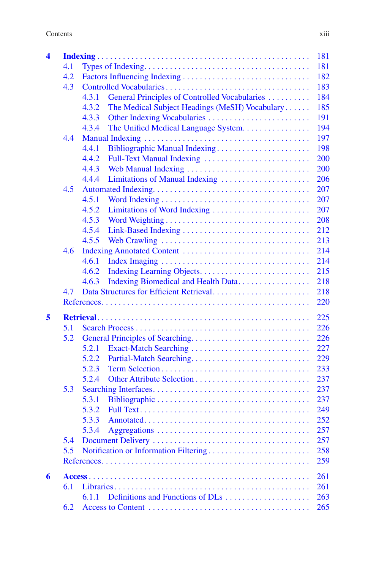| $\overline{\mathbf{4}}$ |     |                                                         | 181 |  |
|-------------------------|-----|---------------------------------------------------------|-----|--|
|                         | 4.1 |                                                         | 181 |  |
|                         | 4.2 | 182                                                     |     |  |
|                         | 4.3 |                                                         | 183 |  |
|                         |     | 4.3.1<br>General Principles of Controlled Vocabularies  | 184 |  |
|                         |     | 4.3.2<br>The Medical Subject Headings (MeSH) Vocabulary | 185 |  |
|                         |     | 4.3.3                                                   | 191 |  |
|                         |     | 4.3.4<br>The Unified Medical Language System            | 194 |  |
|                         | 4.4 |                                                         | 197 |  |
|                         |     | 4.4.1                                                   | 198 |  |
|                         |     | 4.4.2<br>Full-Text Manual Indexing                      | 200 |  |
|                         |     | Web Manual Indexing<br>4.4.3                            | 200 |  |
|                         |     | 4.4.4<br>Limitations of Manual Indexing                 | 206 |  |
|                         | 4.5 |                                                         | 207 |  |
|                         |     | 4.5.1                                                   | 207 |  |
|                         |     | 4.5.2                                                   | 207 |  |
|                         |     | 4.5.3                                                   | 208 |  |
|                         |     | 4.5.4                                                   | 212 |  |
|                         |     | 4.5.5                                                   | 213 |  |
|                         | 4.6 |                                                         | 214 |  |
|                         |     | 4.6.1                                                   | 214 |  |
|                         |     | 4.6.2                                                   | 215 |  |
|                         |     | Indexing Biomedical and Health Data<br>4.6.3            | 218 |  |
|                         | 4.7 | Data Structures for Efficient Retrieval                 | 218 |  |
|                         |     |                                                         | 220 |  |
| 5                       |     |                                                         | 225 |  |
|                         | 5.1 |                                                         | 226 |  |
|                         | 5.2 |                                                         | 226 |  |
|                         |     | 5.2.1<br>Exact-Match Searching                          | 227 |  |
|                         |     | 5.2.2                                                   | 229 |  |
|                         |     | 5.2.3                                                   | 233 |  |
|                         |     | 5.2.4                                                   | 237 |  |
|                         | 5.3 |                                                         | 237 |  |
|                         |     | 5.3.1                                                   | 237 |  |
|                         |     | 5.3.2                                                   | 249 |  |
|                         |     | 5.3.3                                                   | 252 |  |
|                         |     | 5.3.4                                                   | 257 |  |
|                         | 5.4 |                                                         | 257 |  |
|                         | 5.5 |                                                         | 258 |  |
|                         |     |                                                         | 259 |  |
| 6                       |     |                                                         | 261 |  |
|                         | 6.1 |                                                         | 261 |  |
|                         |     | Definitions and Functions of DLs<br>6.1.1               | 263 |  |
|                         | 6.2 |                                                         | 265 |  |
|                         |     |                                                         |     |  |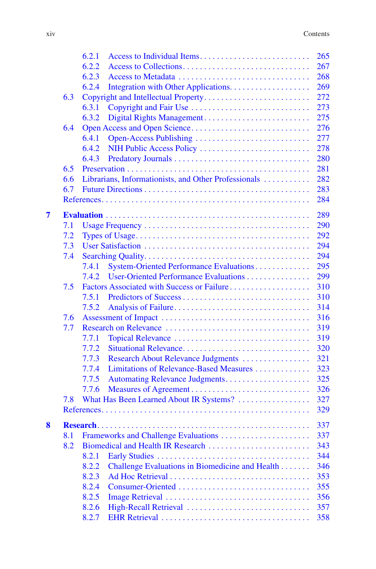|   |     | 6.2.1<br>Access to Individual Items                      | 265 |
|---|-----|----------------------------------------------------------|-----|
|   |     | 6.2.2                                                    | 267 |
|   |     | 6.2.3                                                    | 268 |
|   |     | 6.2.4                                                    | 269 |
|   | 6.3 |                                                          | 272 |
|   |     | 6.3.1<br>Copyright and Fair Use                          | 273 |
|   |     | 6.3.2<br>Digital Rights Management                       | 275 |
|   | 6.4 |                                                          | 276 |
|   |     | 6.4.1<br>Open-Access Publishing                          | 277 |
|   |     | 6.4.2<br>NIH Public Access Policy                        | 278 |
|   |     | 6.4.3                                                    | 280 |
|   | 6.5 |                                                          | 281 |
|   | 6.6 | Librarians, Informationists, and Other Professionals     | 282 |
|   | 6.7 |                                                          | 283 |
|   |     |                                                          | 284 |
| 7 |     |                                                          | 289 |
|   | 7.1 |                                                          | 290 |
|   | 7.2 |                                                          | 292 |
|   | 7.3 |                                                          | 294 |
|   | 7.4 |                                                          | 294 |
|   |     | System-Oriented Performance Evaluations<br>7.4.1         | 295 |
|   |     | 7.4.2<br>User-Oriented Performance Evaluations           | 299 |
|   | 7.5 | Factors Associated with Success or Failure               | 310 |
|   |     | 7.5.1                                                    | 310 |
|   |     | 7.5.2                                                    | 314 |
|   | 7.6 |                                                          | 316 |
|   | 7.7 |                                                          | 319 |
|   |     | 7.7.1                                                    | 319 |
|   |     | 7.7.2<br>Situational Relevance                           | 320 |
|   |     | 7.7.3<br>Research About Relevance Judgments              | 321 |
|   |     | 7.7.4<br>Limitations of Relevance-Based Measures         | 323 |
|   |     | 7.7.5<br>Automating Relevance Judgments                  | 325 |
|   |     | 7.7.6                                                    | 326 |
|   | 7.8 | What Has Been Learned About IR Systems?                  | 327 |
|   |     |                                                          | 329 |
|   |     |                                                          |     |
| 8 |     |                                                          | 337 |
|   |     | 8.1 Frameworks and Challenge Evaluations                 | 337 |
|   | 8.2 |                                                          | 343 |
|   |     | 8.2.1                                                    | 344 |
|   |     | 8.2.2<br>Challenge Evaluations in Biomedicine and Health | 346 |
|   |     | 8.2.3                                                    | 353 |
|   |     | 8.2.4<br>Consumer-Oriented                               | 355 |
|   |     | 8.2.5                                                    | 356 |
|   |     | 8.2.6<br>High-Recall Retrieval                           | 357 |
|   |     | 8.2.7                                                    | 358 |